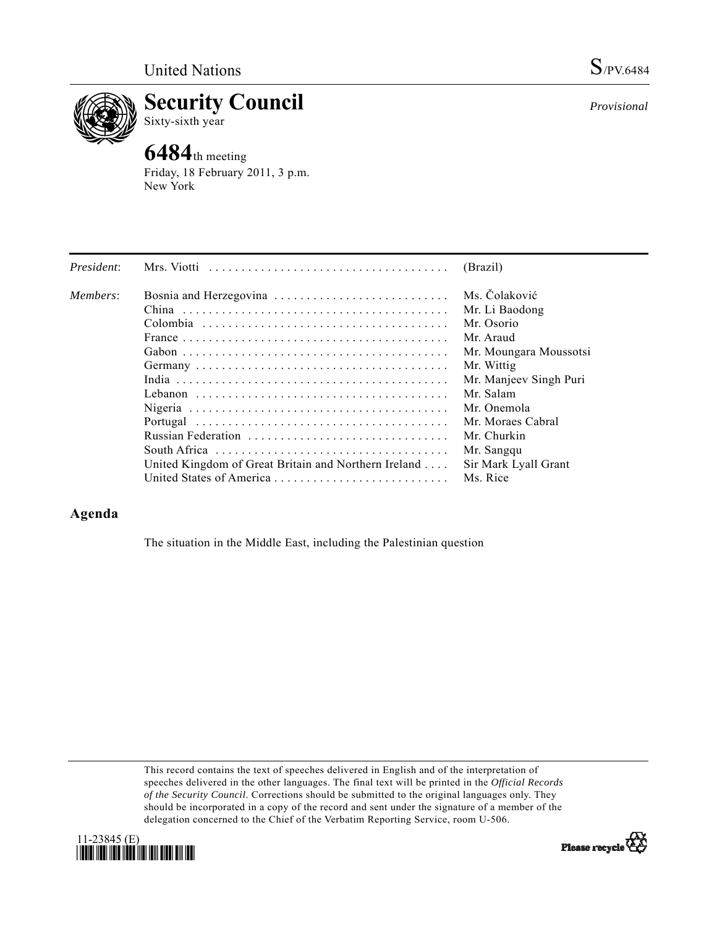

**Security Council**  Sixty-sixth year

# **6484**th meeting

Friday, 18 February 2011, 3 p.m. New York

| President: |                                                      | (Brazil)               |
|------------|------------------------------------------------------|------------------------|
| Members:   |                                                      | Ms. Čolaković          |
|            |                                                      | Mr. Li Baodong         |
|            |                                                      | Mr. Osorio             |
|            |                                                      | Mr. Araud              |
|            |                                                      | Mr. Moungara Moussotsi |
|            |                                                      | Mr. Wittig             |
|            |                                                      | Mr. Manjeev Singh Puri |
|            |                                                      | Mr. Salam              |
|            |                                                      | Mr. Onemola            |
|            |                                                      | Mr. Moraes Cabral      |
|            | Russian Federation                                   | Mr. Churkin            |
|            |                                                      | Mr. Sangqu             |
|            | United Kingdom of Great Britain and Northern Ireland | Sir Mark Lyall Grant   |
|            |                                                      | Ms. Rice               |

# **Agenda**

The situation in the Middle East, including the Palestinian question

This record contains the text of speeches delivered in English and of the interpretation of speeches delivered in the other languages. The final text will be printed in the *Official Records of the Security Council*. Corrections should be submitted to the original languages only. They should be incorporated in a copy of the record and sent under the signature of a member of the delegation concerned to the Chief of the Verbatim Reporting Service, room U-506.





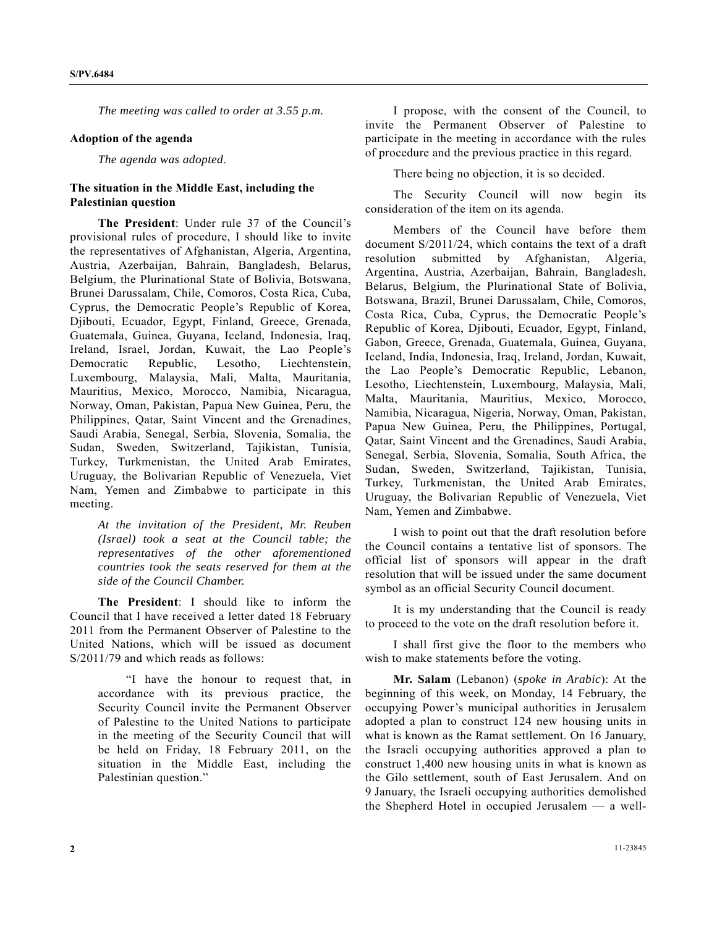*The meeting was called to order at 3.55 p.m.* 

#### **Adoption of the agenda**

*The agenda was adopted*.

## **The situation in the Middle East, including the Palestinian question**

**The President**: Under rule 37 of the Council's provisional rules of procedure, I should like to invite the representatives of Afghanistan, Algeria, Argentina, Austria, Azerbaijan, Bahrain, Bangladesh, Belarus, Belgium, the Plurinational State of Bolivia, Botswana, Brunei Darussalam, Chile, Comoros, Costa Rica, Cuba, Cyprus, the Democratic People's Republic of Korea, Djibouti, Ecuador, Egypt, Finland, Greece, Grenada, Guatemala, Guinea, Guyana, Iceland, Indonesia, Iraq, Ireland, Israel, Jordan, Kuwait, the Lao People's Democratic Republic, Lesotho, Liechtenstein, Luxembourg, Malaysia, Mali, Malta, Mauritania, Mauritius, Mexico, Morocco, Namibia, Nicaragua, Norway, Oman, Pakistan, Papua New Guinea, Peru, the Philippines, Qatar, Saint Vincent and the Grenadines, Saudi Arabia, Senegal, Serbia, Slovenia, Somalia, the Sudan, Sweden, Switzerland, Tajikistan, Tunisia, Turkey, Turkmenistan, the United Arab Emirates, Uruguay, the Bolivarian Republic of Venezuela, Viet Nam, Yemen and Zimbabwe to participate in this meeting.

 *At the invitation of the President, Mr. Reuben (Israel) took a seat at the Council table; the representatives of the other aforementioned countries took the seats reserved for them at the side of the Council Chamber.* 

**The President**: I should like to inform the Council that I have received a letter dated 18 February 2011 from the Permanent Observer of Palestine to the United Nations, which will be issued as document S/2011/79 and which reads as follows:

 "I have the honour to request that, in accordance with its previous practice, the Security Council invite the Permanent Observer of Palestine to the United Nations to participate in the meeting of the Security Council that will be held on Friday, 18 February 2011, on the situation in the Middle East, including the Palestinian question."

 I propose, with the consent of the Council, to invite the Permanent Observer of Palestine to participate in the meeting in accordance with the rules of procedure and the previous practice in this regard.

There being no objection, it is so decided.

 The Security Council will now begin its consideration of the item on its agenda.

 Members of the Council have before them document S/2011/24, which contains the text of a draft resolution submitted by Afghanistan, Algeria, Argentina, Austria, Azerbaijan, Bahrain, Bangladesh, Belarus, Belgium, the Plurinational State of Bolivia, Botswana, Brazil, Brunei Darussalam, Chile, Comoros, Costa Rica, Cuba, Cyprus, the Democratic People's Republic of Korea, Djibouti, Ecuador, Egypt, Finland, Gabon, Greece, Grenada, Guatemala, Guinea, Guyana, Iceland, India, Indonesia, Iraq, Ireland, Jordan, Kuwait, the Lao People's Democratic Republic, Lebanon, Lesotho, Liechtenstein, Luxembourg, Malaysia, Mali, Malta, Mauritania, Mauritius, Mexico, Morocco, Namibia, Nicaragua, Nigeria, Norway, Oman, Pakistan, Papua New Guinea, Peru, the Philippines, Portugal, Qatar, Saint Vincent and the Grenadines, Saudi Arabia, Senegal, Serbia, Slovenia, Somalia, South Africa, the Sudan, Sweden, Switzerland, Tajikistan, Tunisia, Turkey, Turkmenistan, the United Arab Emirates, Uruguay, the Bolivarian Republic of Venezuela, Viet Nam, Yemen and Zimbabwe.

 I wish to point out that the draft resolution before the Council contains a tentative list of sponsors. The official list of sponsors will appear in the draft resolution that will be issued under the same document symbol as an official Security Council document.

 It is my understanding that the Council is ready to proceed to the vote on the draft resolution before it.

 I shall first give the floor to the members who wish to make statements before the voting.

**Mr. Salam** (Lebanon) (*spoke in Arabic*): At the beginning of this week, on Monday, 14 February, the occupying Power's municipal authorities in Jerusalem adopted a plan to construct 124 new housing units in what is known as the Ramat settlement. On 16 January, the Israeli occupying authorities approved a plan to construct 1,400 new housing units in what is known as the Gilo settlement, south of East Jerusalem. And on 9 January, the Israeli occupying authorities demolished the Shepherd Hotel in occupied Jerusalem — a well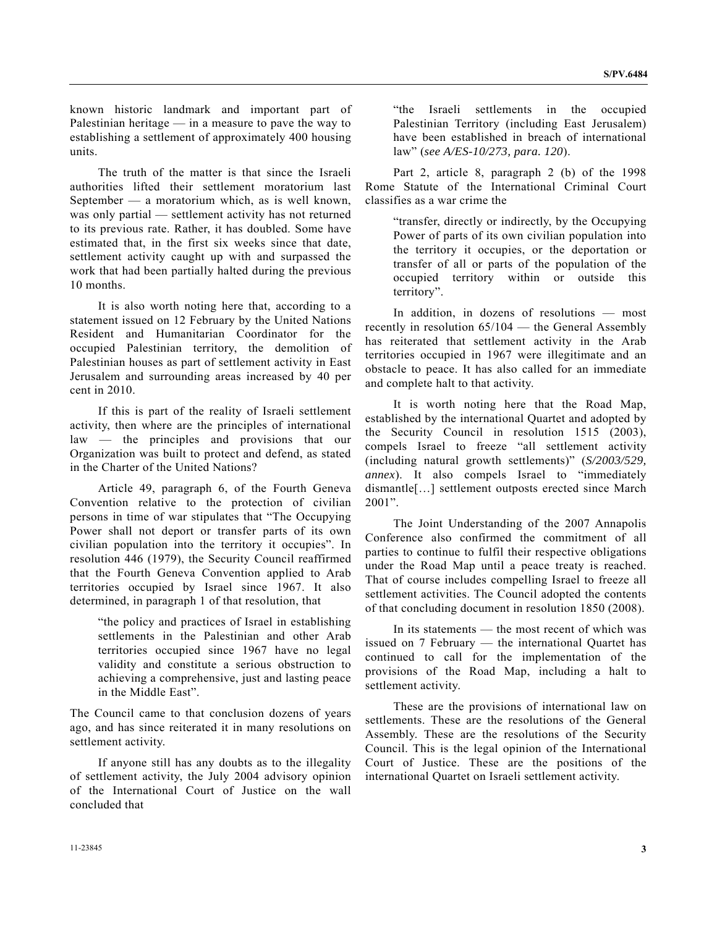known historic landmark and important part of Palestinian heritage — in a measure to pave the way to establishing a settlement of approximately 400 housing units.

 The truth of the matter is that since the Israeli authorities lifted their settlement moratorium last September — a moratorium which, as is well known, was only partial — settlement activity has not returned to its previous rate. Rather, it has doubled. Some have estimated that, in the first six weeks since that date, settlement activity caught up with and surpassed the work that had been partially halted during the previous 10 months.

 It is also worth noting here that, according to a statement issued on 12 February by the United Nations Resident and Humanitarian Coordinator for the occupied Palestinian territory, the demolition of Palestinian houses as part of settlement activity in East Jerusalem and surrounding areas increased by 40 per cent in 2010.

 If this is part of the reality of Israeli settlement activity, then where are the principles of international law — the principles and provisions that our Organization was built to protect and defend, as stated in the Charter of the United Nations?

 Article 49, paragraph 6, of the Fourth Geneva Convention relative to the protection of civilian persons in time of war stipulates that "The Occupying Power shall not deport or transfer parts of its own civilian population into the territory it occupies". In resolution 446 (1979), the Security Council reaffirmed that the Fourth Geneva Convention applied to Arab territories occupied by Israel since 1967. It also determined, in paragraph 1 of that resolution, that

 "the policy and practices of Israel in establishing settlements in the Palestinian and other Arab territories occupied since 1967 have no legal validity and constitute a serious obstruction to achieving a comprehensive, just and lasting peace in the Middle East".

The Council came to that conclusion dozens of years ago, and has since reiterated it in many resolutions on settlement activity.

 If anyone still has any doubts as to the illegality of settlement activity, the July 2004 advisory opinion of the International Court of Justice on the wall concluded that

 "the Israeli settlements in the occupied Palestinian Territory (including East Jerusalem) have been established in breach of international law" (*see A/ES-10/273, para. 120*).

 Part 2, article 8, paragraph 2 (b) of the 1998 Rome Statute of the International Criminal Court classifies as a war crime the

 "transfer, directly or indirectly, by the Occupying Power of parts of its own civilian population into the territory it occupies, or the deportation or transfer of all or parts of the population of the occupied territory within or outside this territory".

 In addition, in dozens of resolutions — most recently in resolution 65/104 — the General Assembly has reiterated that settlement activity in the Arab territories occupied in 1967 were illegitimate and an obstacle to peace. It has also called for an immediate and complete halt to that activity.

 It is worth noting here that the Road Map, established by the international Quartet and adopted by the Security Council in resolution 1515 (2003), compels Israel to freeze "all settlement activity (including natural growth settlements)" (*S/2003/529, annex*). It also compels Israel to "immediately dismantle[…] settlement outposts erected since March 2001".

 The Joint Understanding of the 2007 Annapolis Conference also confirmed the commitment of all parties to continue to fulfil their respective obligations under the Road Map until a peace treaty is reached. That of course includes compelling Israel to freeze all settlement activities. The Council adopted the contents of that concluding document in resolution 1850 (2008).

 In its statements — the most recent of which was issued on 7 February — the international Quartet has continued to call for the implementation of the provisions of the Road Map, including a halt to settlement activity.

 These are the provisions of international law on settlements. These are the resolutions of the General Assembly. These are the resolutions of the Security Council. This is the legal opinion of the International Court of Justice. These are the positions of the international Quartet on Israeli settlement activity.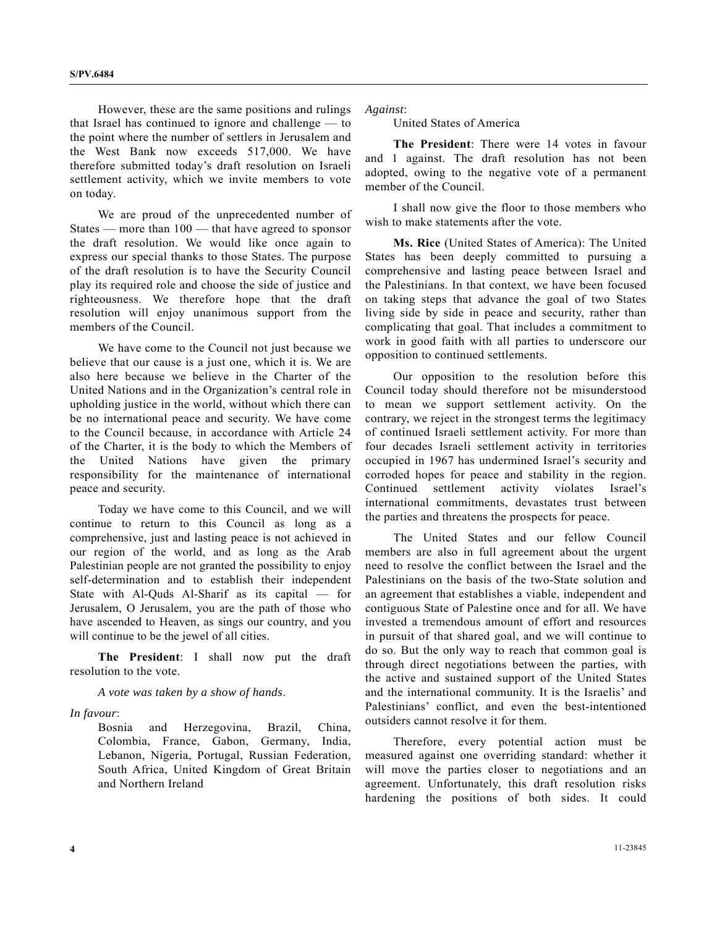However, these are the same positions and rulings that Israel has continued to ignore and challenge — to the point where the number of settlers in Jerusalem and the West Bank now exceeds 517,000. We have therefore submitted today's draft resolution on Israeli settlement activity, which we invite members to vote on today.

 We are proud of the unprecedented number of States — more than 100 — that have agreed to sponsor the draft resolution. We would like once again to express our special thanks to those States. The purpose of the draft resolution is to have the Security Council play its required role and choose the side of justice and righteousness. We therefore hope that the draft resolution will enjoy unanimous support from the members of the Council.

 We have come to the Council not just because we believe that our cause is a just one, which it is. We are also here because we believe in the Charter of the United Nations and in the Organization's central role in upholding justice in the world, without which there can be no international peace and security. We have come to the Council because, in accordance with Article 24 of the Charter, it is the body to which the Members of the United Nations have given the primary responsibility for the maintenance of international peace and security.

 Today we have come to this Council, and we will continue to return to this Council as long as a comprehensive, just and lasting peace is not achieved in our region of the world, and as long as the Arab Palestinian people are not granted the possibility to enjoy self-determination and to establish their independent State with Al-Quds Al-Sharif as its capital — for Jerusalem, O Jerusalem, you are the path of those who have ascended to Heaven, as sings our country, and you will continue to be the jewel of all cities.

**The President**: I shall now put the draft resolution to the vote.

#### *A vote was taken by a show of hands*.

### *In favour*:

 Bosnia and Herzegovina, Brazil, China, Colombia, France, Gabon, Germany, India, Lebanon, Nigeria, Portugal, Russian Federation, South Africa, United Kingdom of Great Britain and Northern Ireland

*Against*:

United States of America

**The President**: There were 14 votes in favour and 1 against. The draft resolution has not been adopted, owing to the negative vote of a permanent member of the Council.

 I shall now give the floor to those members who wish to make statements after the vote.

**Ms. Rice** (United States of America): The United States has been deeply committed to pursuing a comprehensive and lasting peace between Israel and the Palestinians. In that context, we have been focused on taking steps that advance the goal of two States living side by side in peace and security, rather than complicating that goal. That includes a commitment to work in good faith with all parties to underscore our opposition to continued settlements.

 Our opposition to the resolution before this Council today should therefore not be misunderstood to mean we support settlement activity. On the contrary, we reject in the strongest terms the legitimacy of continued Israeli settlement activity. For more than four decades Israeli settlement activity in territories occupied in 1967 has undermined Israel's security and corroded hopes for peace and stability in the region. Continued settlement activity violates Israel's international commitments, devastates trust between the parties and threatens the prospects for peace.

 The United States and our fellow Council members are also in full agreement about the urgent need to resolve the conflict between the Israel and the Palestinians on the basis of the two-State solution and an agreement that establishes a viable, independent and contiguous State of Palestine once and for all. We have invested a tremendous amount of effort and resources in pursuit of that shared goal, and we will continue to do so. But the only way to reach that common goal is through direct negotiations between the parties, with the active and sustained support of the United States and the international community. It is the Israelis' and Palestinians' conflict, and even the best-intentioned outsiders cannot resolve it for them.

 Therefore, every potential action must be measured against one overriding standard: whether it will move the parties closer to negotiations and an agreement. Unfortunately, this draft resolution risks hardening the positions of both sides. It could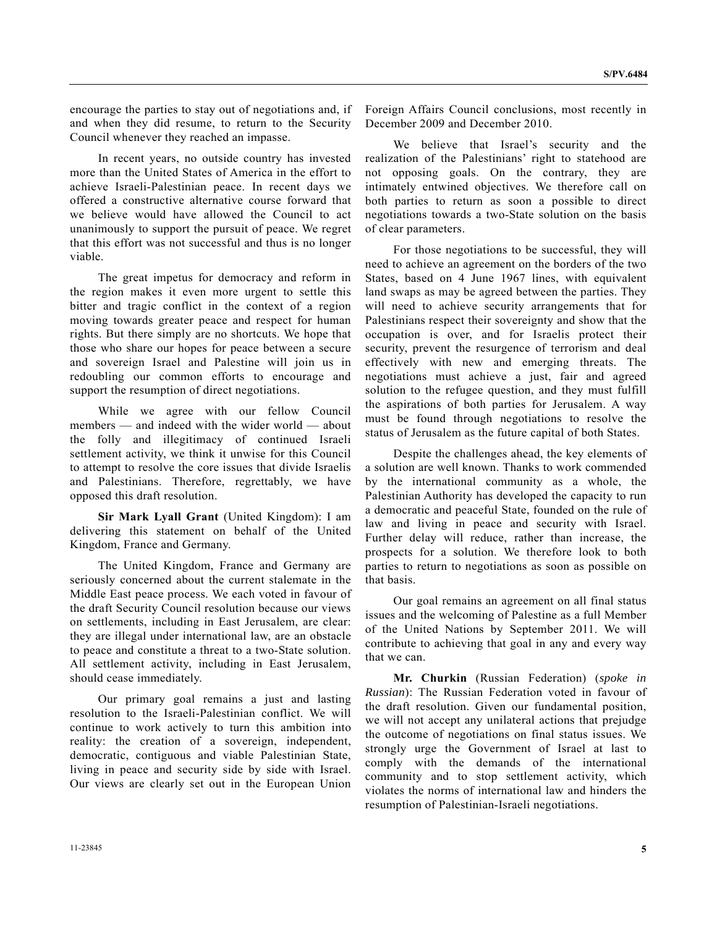encourage the parties to stay out of negotiations and, if and when they did resume, to return to the Security Council whenever they reached an impasse.

 In recent years, no outside country has invested more than the United States of America in the effort to achieve Israeli-Palestinian peace. In recent days we offered a constructive alternative course forward that we believe would have allowed the Council to act unanimously to support the pursuit of peace. We regret that this effort was not successful and thus is no longer viable.

 The great impetus for democracy and reform in the region makes it even more urgent to settle this bitter and tragic conflict in the context of a region moving towards greater peace and respect for human rights. But there simply are no shortcuts. We hope that those who share our hopes for peace between a secure and sovereign Israel and Palestine will join us in redoubling our common efforts to encourage and support the resumption of direct negotiations.

 While we agree with our fellow Council members — and indeed with the wider world — about the folly and illegitimacy of continued Israeli settlement activity, we think it unwise for this Council to attempt to resolve the core issues that divide Israelis and Palestinians. Therefore, regrettably, we have opposed this draft resolution.

**Sir Mark Lyall Grant** (United Kingdom): I am delivering this statement on behalf of the United Kingdom, France and Germany.

 The United Kingdom, France and Germany are seriously concerned about the current stalemate in the Middle East peace process. We each voted in favour of the draft Security Council resolution because our views on settlements, including in East Jerusalem, are clear: they are illegal under international law, are an obstacle to peace and constitute a threat to a two-State solution. All settlement activity, including in East Jerusalem, should cease immediately.

 Our primary goal remains a just and lasting resolution to the Israeli-Palestinian conflict. We will continue to work actively to turn this ambition into reality: the creation of a sovereign, independent, democratic, contiguous and viable Palestinian State, living in peace and security side by side with Israel. Our views are clearly set out in the European Union

Foreign Affairs Council conclusions, most recently in December 2009 and December 2010.

 We believe that Israel's security and the realization of the Palestinians' right to statehood are not opposing goals. On the contrary, they are intimately entwined objectives. We therefore call on both parties to return as soon a possible to direct negotiations towards a two-State solution on the basis of clear parameters.

 For those negotiations to be successful, they will need to achieve an agreement on the borders of the two States, based on 4 June 1967 lines, with equivalent land swaps as may be agreed between the parties. They will need to achieve security arrangements that for Palestinians respect their sovereignty and show that the occupation is over, and for Israelis protect their security, prevent the resurgence of terrorism and deal effectively with new and emerging threats. The negotiations must achieve a just, fair and agreed solution to the refugee question, and they must fulfill the aspirations of both parties for Jerusalem. A way must be found through negotiations to resolve the status of Jerusalem as the future capital of both States.

 Despite the challenges ahead, the key elements of a solution are well known. Thanks to work commended by the international community as a whole, the Palestinian Authority has developed the capacity to run a democratic and peaceful State, founded on the rule of law and living in peace and security with Israel. Further delay will reduce, rather than increase, the prospects for a solution. We therefore look to both parties to return to negotiations as soon as possible on that basis.

 Our goal remains an agreement on all final status issues and the welcoming of Palestine as a full Member of the United Nations by September 2011. We will contribute to achieving that goal in any and every way that we can.

**Mr. Churkin** (Russian Federation) (*spoke in Russian*): The Russian Federation voted in favour of the draft resolution. Given our fundamental position, we will not accept any unilateral actions that prejudge the outcome of negotiations on final status issues. We strongly urge the Government of Israel at last to comply with the demands of the international community and to stop settlement activity, which violates the norms of international law and hinders the resumption of Palestinian-Israeli negotiations.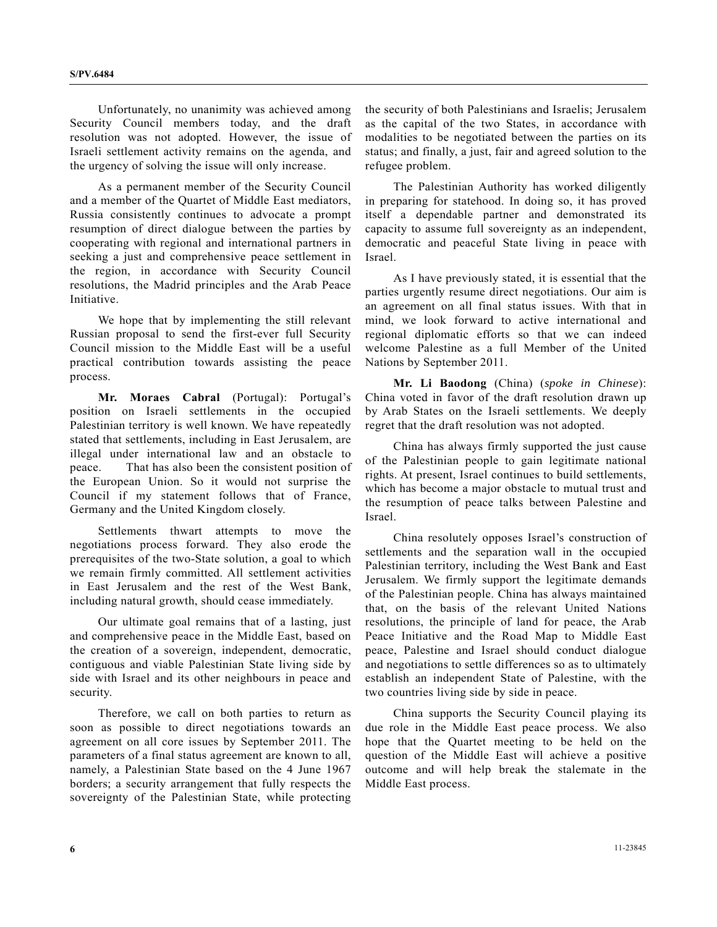Unfortunately, no unanimity was achieved among Security Council members today, and the draft resolution was not adopted. However, the issue of Israeli settlement activity remains on the agenda, and the urgency of solving the issue will only increase.

 As a permanent member of the Security Council and a member of the Quartet of Middle East mediators, Russia consistently continues to advocate a prompt resumption of direct dialogue between the parties by cooperating with regional and international partners in seeking a just and comprehensive peace settlement in the region, in accordance with Security Council resolutions, the Madrid principles and the Arab Peace Initiative.

 We hope that by implementing the still relevant Russian proposal to send the first-ever full Security Council mission to the Middle East will be a useful practical contribution towards assisting the peace process.

**Mr. Moraes Cabral** (Portugal): Portugal's position on Israeli settlements in the occupied Palestinian territory is well known. We have repeatedly stated that settlements, including in East Jerusalem, are illegal under international law and an obstacle to peace. That has also been the consistent position of the European Union. So it would not surprise the Council if my statement follows that of France, Germany and the United Kingdom closely.

 Settlements thwart attempts to move the negotiations process forward. They also erode the prerequisites of the two-State solution, a goal to which we remain firmly committed. All settlement activities in East Jerusalem and the rest of the West Bank, including natural growth, should cease immediately.

 Our ultimate goal remains that of a lasting, just and comprehensive peace in the Middle East, based on the creation of a sovereign, independent, democratic, contiguous and viable Palestinian State living side by side with Israel and its other neighbours in peace and security.

 Therefore, we call on both parties to return as soon as possible to direct negotiations towards an agreement on all core issues by September 2011. The parameters of a final status agreement are known to all, namely, a Palestinian State based on the 4 June 1967 borders; a security arrangement that fully respects the sovereignty of the Palestinian State, while protecting the security of both Palestinians and Israelis; Jerusalem as the capital of the two States, in accordance with modalities to be negotiated between the parties on its status; and finally, a just, fair and agreed solution to the refugee problem.

 The Palestinian Authority has worked diligently in preparing for statehood. In doing so, it has proved itself a dependable partner and demonstrated its capacity to assume full sovereignty as an independent, democratic and peaceful State living in peace with Israel.

 As I have previously stated, it is essential that the parties urgently resume direct negotiations. Our aim is an agreement on all final status issues. With that in mind, we look forward to active international and regional diplomatic efforts so that we can indeed welcome Palestine as a full Member of the United Nations by September 2011.

**Mr. Li Baodong** (China) (*spoke in Chinese*): China voted in favor of the draft resolution drawn up by Arab States on the Israeli settlements. We deeply regret that the draft resolution was not adopted.

 China has always firmly supported the just cause of the Palestinian people to gain legitimate national rights. At present, Israel continues to build settlements, which has become a major obstacle to mutual trust and the resumption of peace talks between Palestine and Israel.

 China resolutely opposes Israel's construction of settlements and the separation wall in the occupied Palestinian territory, including the West Bank and East Jerusalem. We firmly support the legitimate demands of the Palestinian people. China has always maintained that, on the basis of the relevant United Nations resolutions, the principle of land for peace, the Arab Peace Initiative and the Road Map to Middle East peace, Palestine and Israel should conduct dialogue and negotiations to settle differences so as to ultimately establish an independent State of Palestine, with the two countries living side by side in peace.

 China supports the Security Council playing its due role in the Middle East peace process. We also hope that the Quartet meeting to be held on the question of the Middle East will achieve a positive outcome and will help break the stalemate in the Middle East process.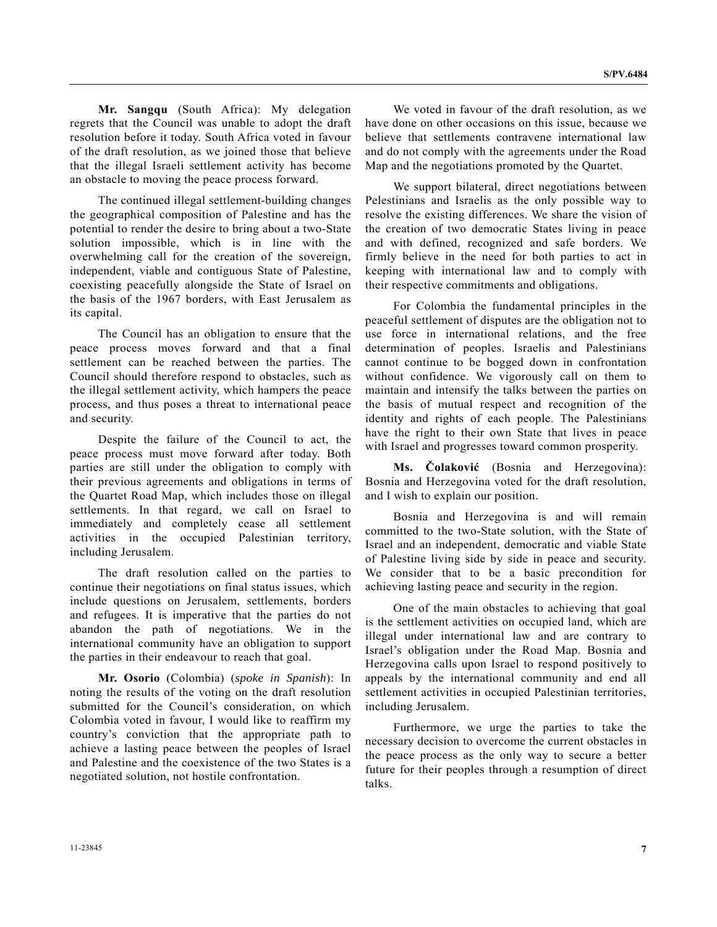**Mr. Sangqu** (South Africa): My delegation regrets that the Council was unable to adopt the draft resolution before it today. South Africa voted in favour of the draft resolution, as we joined those that believe that the illegal Israeli settlement activity has become an obstacle to moving the peace process forward.

 The continued illegal settlement-building changes the geographical composition of Palestine and has the potential to render the desire to bring about a two-State solution impossible, which is in line with the overwhelming call for the creation of the sovereign, independent, viable and contiguous State of Palestine, coexisting peacefully alongside the State of Israel on the basis of the 1967 borders, with East Jerusalem as its capital.

 The Council has an obligation to ensure that the peace process moves forward and that a final settlement can be reached between the parties. The Council should therefore respond to obstacles, such as the illegal settlement activity, which hampers the peace process, and thus poses a threat to international peace and security.

 Despite the failure of the Council to act, the peace process must move forward after today. Both parties are still under the obligation to comply with their previous agreements and obligations in terms of the Quartet Road Map, which includes those on illegal settlements. In that regard, we call on Israel to immediately and completely cease all settlement activities in the occupied Palestinian territory, including Jerusalem.

 The draft resolution called on the parties to continue their negotiations on final status issues, which include questions on Jerusalem, settlements, borders and refugees. It is imperative that the parties do not abandon the path of negotiations. We in the international community have an obligation to support the parties in their endeavour to reach that goal.

**Mr. Osorio** (Colombia) (*spoke in Spanish*): In noting the results of the voting on the draft resolution submitted for the Council's consideration, on which Colombia voted in favour, I would like to reaffirm my country's conviction that the appropriate path to achieve a lasting peace between the peoples of Israel and Palestine and the coexistence of the two States is a negotiated solution, not hostile confrontation.

 We voted in favour of the draft resolution, as we have done on other occasions on this issue, because we believe that settlements contravene international law and do not comply with the agreements under the Road Map and the negotiations promoted by the Quartet.

 We support bilateral, direct negotiations between Pelestinians and Israelis as the only possible way to resolve the existing differences. We share the vision of the creation of two democratic States living in peace and with defined, recognized and safe borders. We firmly believe in the need for both parties to act in keeping with international law and to comply with their respective commitments and obligations.

 For Colombia the fundamental principles in the peaceful settlement of disputes are the obligation not to use force in international relations, and the free determination of peoples. Israelis and Palestinians cannot continue to be bogged down in confrontation without confidence. We vigorously call on them to maintain and intensify the talks between the parties on the basis of mutual respect and recognition of the identity and rights of each people. The Palestinians have the right to their own State that lives in peace with Israel and progresses toward common prosperity.

**Ms. Čolaković** (Bosnia and Herzegovina): Bosnia and Herzegovina voted for the draft resolution, and I wish to explain our position.

 Bosnia and Herzegovina is and will remain committed to the two-State solution, with the State of Israel and an independent, democratic and viable State of Palestine living side by side in peace and security. We consider that to be a basic precondition for achieving lasting peace and security in the region.

 One of the main obstacles to achieving that goal is the settlement activities on occupied land, which are illegal under international law and are contrary to Israel's obligation under the Road Map. Bosnia and Herzegovina calls upon Israel to respond positively to appeals by the international community and end all settlement activities in occupied Palestinian territories, including Jerusalem.

 Furthermore, we urge the parties to take the necessary decision to overcome the current obstacles in the peace process as the only way to secure a better future for their peoples through a resumption of direct talks.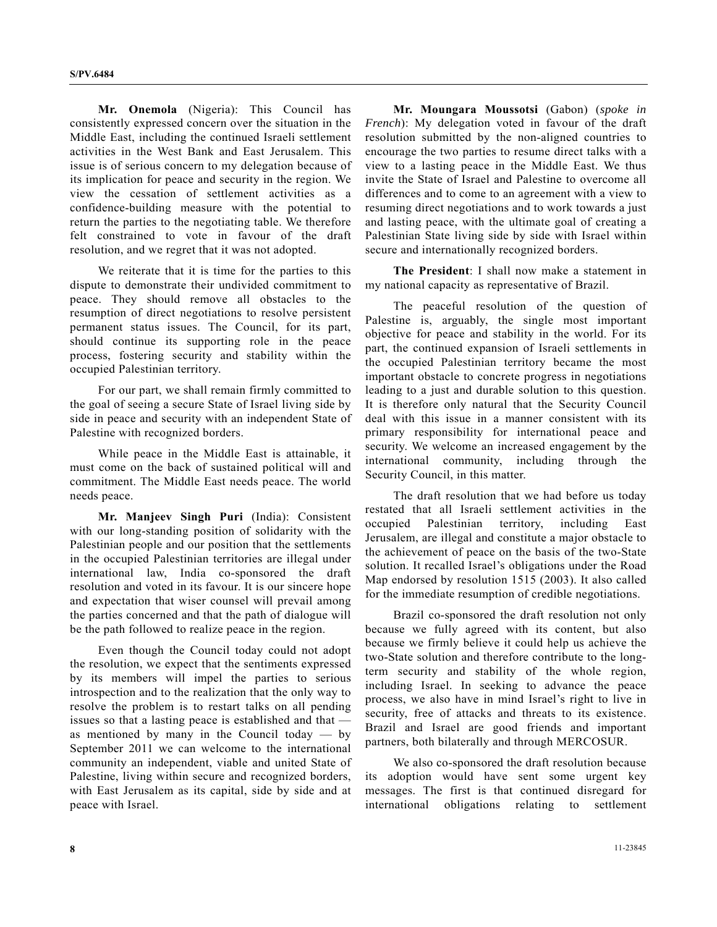**Mr. Onemola** (Nigeria): This Council has consistently expressed concern over the situation in the Middle East, including the continued Israeli settlement activities in the West Bank and East Jerusalem. This issue is of serious concern to my delegation because of its implication for peace and security in the region. We view the cessation of settlement activities as a confidence-building measure with the potential to return the parties to the negotiating table. We therefore felt constrained to vote in favour of the draft resolution, and we regret that it was not adopted.

 We reiterate that it is time for the parties to this dispute to demonstrate their undivided commitment to peace. They should remove all obstacles to the resumption of direct negotiations to resolve persistent permanent status issues. The Council, for its part, should continue its supporting role in the peace process, fostering security and stability within the occupied Palestinian territory.

 For our part, we shall remain firmly committed to the goal of seeing a secure State of Israel living side by side in peace and security with an independent State of Palestine with recognized borders.

 While peace in the Middle East is attainable, it must come on the back of sustained political will and commitment. The Middle East needs peace. The world needs peace.

**Mr. Manjeev Singh Puri** (India): Consistent with our long-standing position of solidarity with the Palestinian people and our position that the settlements in the occupied Palestinian territories are illegal under international law, India co-sponsored the draft resolution and voted in its favour. It is our sincere hope and expectation that wiser counsel will prevail among the parties concerned and that the path of dialogue will be the path followed to realize peace in the region.

 Even though the Council today could not adopt the resolution, we expect that the sentiments expressed by its members will impel the parties to serious introspection and to the realization that the only way to resolve the problem is to restart talks on all pending issues so that a lasting peace is established and that as mentioned by many in the Council today  $-$  by September 2011 we can welcome to the international community an independent, viable and united State of Palestine, living within secure and recognized borders, with East Jerusalem as its capital, side by side and at peace with Israel.

**Mr. Moungara Moussotsi** (Gabon) (*spoke in French*): My delegation voted in favour of the draft resolution submitted by the non-aligned countries to encourage the two parties to resume direct talks with a view to a lasting peace in the Middle East. We thus invite the State of Israel and Palestine to overcome all differences and to come to an agreement with a view to resuming direct negotiations and to work towards a just and lasting peace, with the ultimate goal of creating a Palestinian State living side by side with Israel within secure and internationally recognized borders.

**The President**: I shall now make a statement in my national capacity as representative of Brazil.

 The peaceful resolution of the question of Palestine is, arguably, the single most important objective for peace and stability in the world. For its part, the continued expansion of Israeli settlements in the occupied Palestinian territory became the most important obstacle to concrete progress in negotiations leading to a just and durable solution to this question. It is therefore only natural that the Security Council deal with this issue in a manner consistent with its primary responsibility for international peace and security. We welcome an increased engagement by the international community, including through the Security Council, in this matter.

 The draft resolution that we had before us today restated that all Israeli settlement activities in the occupied Palestinian territory, including East Jerusalem, are illegal and constitute a major obstacle to the achievement of peace on the basis of the two-State solution. It recalled Israel's obligations under the Road Map endorsed by resolution 1515 (2003). It also called for the immediate resumption of credible negotiations.

 Brazil co-sponsored the draft resolution not only because we fully agreed with its content, but also because we firmly believe it could help us achieve the two-State solution and therefore contribute to the longterm security and stability of the whole region, including Israel. In seeking to advance the peace process, we also have in mind Israel's right to live in security, free of attacks and threats to its existence. Brazil and Israel are good friends and important partners, both bilaterally and through MERCOSUR.

 We also co-sponsored the draft resolution because its adoption would have sent some urgent key messages. The first is that continued disregard for international obligations relating to settlement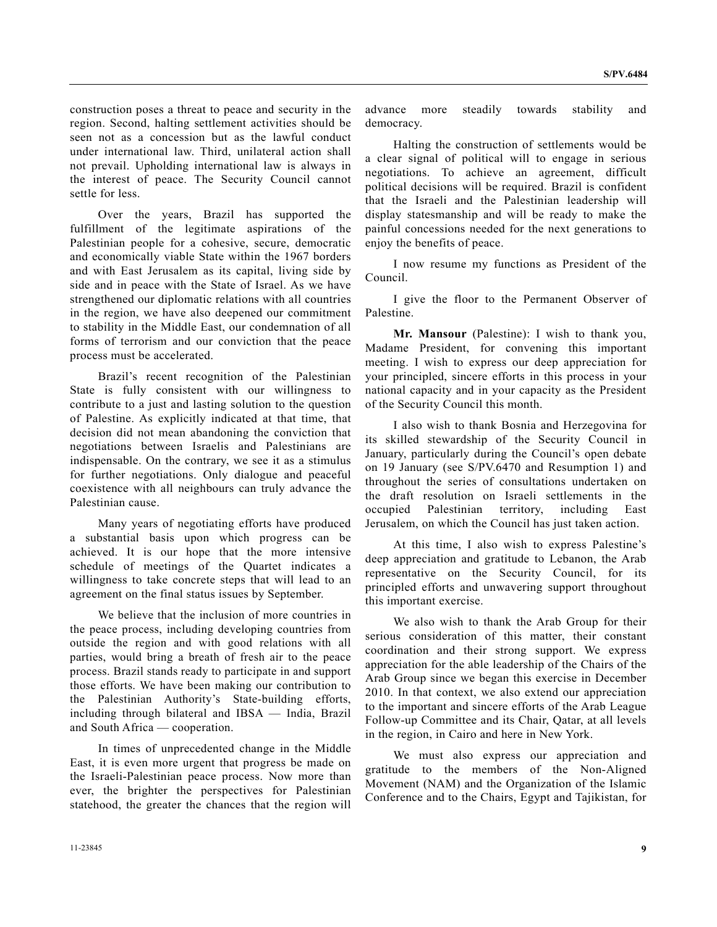construction poses a threat to peace and security in the region. Second, halting settlement activities should be seen not as a concession but as the lawful conduct under international law. Third, unilateral action shall not prevail. Upholding international law is always in the interest of peace. The Security Council cannot settle for less.

 Over the years, Brazil has supported the fulfillment of the legitimate aspirations of the Palestinian people for a cohesive, secure, democratic and economically viable State within the 1967 borders and with East Jerusalem as its capital, living side by side and in peace with the State of Israel. As we have strengthened our diplomatic relations with all countries in the region, we have also deepened our commitment to stability in the Middle East, our condemnation of all forms of terrorism and our conviction that the peace process must be accelerated.

 Brazil's recent recognition of the Palestinian State is fully consistent with our willingness to contribute to a just and lasting solution to the question of Palestine. As explicitly indicated at that time, that decision did not mean abandoning the conviction that negotiations between Israelis and Palestinians are indispensable. On the contrary, we see it as a stimulus for further negotiations. Only dialogue and peaceful coexistence with all neighbours can truly advance the Palestinian cause.

 Many years of negotiating efforts have produced a substantial basis upon which progress can be achieved. It is our hope that the more intensive schedule of meetings of the Quartet indicates a willingness to take concrete steps that will lead to an agreement on the final status issues by September.

 We believe that the inclusion of more countries in the peace process, including developing countries from outside the region and with good relations with all parties, would bring a breath of fresh air to the peace process. Brazil stands ready to participate in and support those efforts. We have been making our contribution to the Palestinian Authority's State-building efforts, including through bilateral and IBSA — India, Brazil and South Africa — cooperation.

 In times of unprecedented change in the Middle East, it is even more urgent that progress be made on the Israeli-Palestinian peace process. Now more than ever, the brighter the perspectives for Palestinian statehood, the greater the chances that the region will

advance more steadily towards stability and democracy.

 Halting the construction of settlements would be a clear signal of political will to engage in serious negotiations. To achieve an agreement, difficult political decisions will be required. Brazil is confident that the Israeli and the Palestinian leadership will display statesmanship and will be ready to make the painful concessions needed for the next generations to enjoy the benefits of peace.

 I now resume my functions as President of the Council.

 I give the floor to the Permanent Observer of Palestine.

**Mr. Mansour** (Palestine): I wish to thank you, Madame President, for convening this important meeting. I wish to express our deep appreciation for your principled, sincere efforts in this process in your national capacity and in your capacity as the President of the Security Council this month.

 I also wish to thank Bosnia and Herzegovina for its skilled stewardship of the Security Council in January, particularly during the Council's open debate on 19 January (see S/PV.6470 and Resumption 1) and throughout the series of consultations undertaken on the draft resolution on Israeli settlements in the occupied Palestinian territory, including East Jerusalem, on which the Council has just taken action.

 At this time, I also wish to express Palestine's deep appreciation and gratitude to Lebanon, the Arab representative on the Security Council, for its principled efforts and unwavering support throughout this important exercise.

 We also wish to thank the Arab Group for their serious consideration of this matter, their constant coordination and their strong support. We express appreciation for the able leadership of the Chairs of the Arab Group since we began this exercise in December 2010. In that context, we also extend our appreciation to the important and sincere efforts of the Arab League Follow-up Committee and its Chair, Qatar, at all levels in the region, in Cairo and here in New York.

 We must also express our appreciation and gratitude to the members of the Non-Aligned Movement (NAM) and the Organization of the Islamic Conference and to the Chairs, Egypt and Tajikistan, for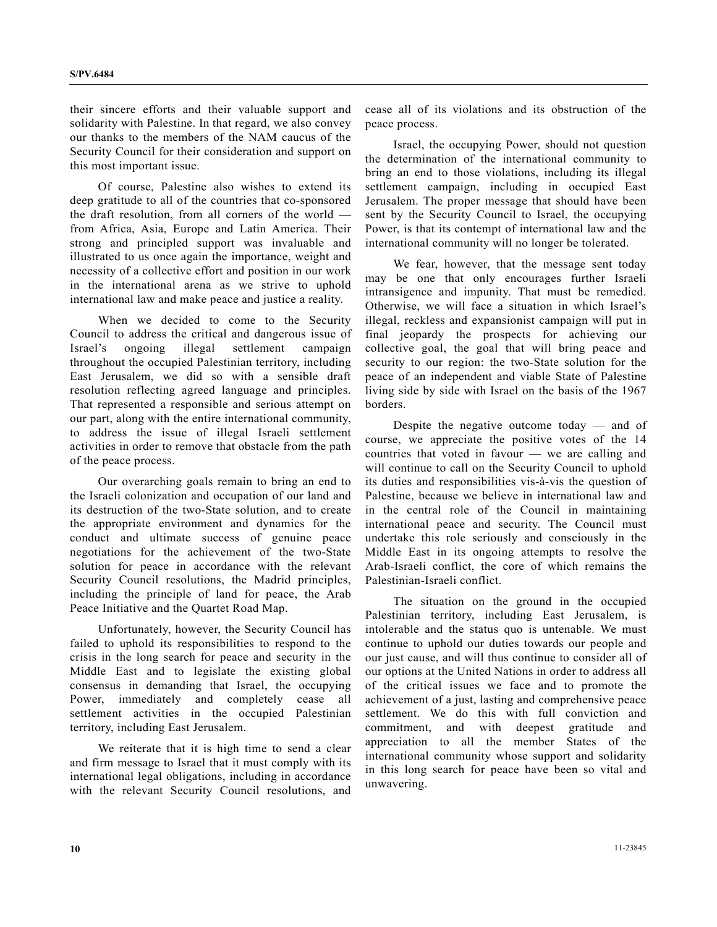their sincere efforts and their valuable support and solidarity with Palestine. In that regard, we also convey our thanks to the members of the NAM caucus of the Security Council for their consideration and support on this most important issue.

 Of course, Palestine also wishes to extend its deep gratitude to all of the countries that co-sponsored the draft resolution, from all corners of the world from Africa, Asia, Europe and Latin America. Their strong and principled support was invaluable and illustrated to us once again the importance, weight and necessity of a collective effort and position in our work in the international arena as we strive to uphold international law and make peace and justice a reality.

 When we decided to come to the Security Council to address the critical and dangerous issue of Israel's ongoing illegal settlement campaign throughout the occupied Palestinian territory, including East Jerusalem, we did so with a sensible draft resolution reflecting agreed language and principles. That represented a responsible and serious attempt on our part, along with the entire international community, to address the issue of illegal Israeli settlement activities in order to remove that obstacle from the path of the peace process.

 Our overarching goals remain to bring an end to the Israeli colonization and occupation of our land and its destruction of the two-State solution, and to create the appropriate environment and dynamics for the conduct and ultimate success of genuine peace negotiations for the achievement of the two-State solution for peace in accordance with the relevant Security Council resolutions, the Madrid principles, including the principle of land for peace, the Arab Peace Initiative and the Quartet Road Map.

 Unfortunately, however, the Security Council has failed to uphold its responsibilities to respond to the crisis in the long search for peace and security in the Middle East and to legislate the existing global consensus in demanding that Israel, the occupying Power, immediately and completely cease all settlement activities in the occupied Palestinian territory, including East Jerusalem.

 We reiterate that it is high time to send a clear and firm message to Israel that it must comply with its international legal obligations, including in accordance with the relevant Security Council resolutions, and cease all of its violations and its obstruction of the peace process.

 Israel, the occupying Power, should not question the determination of the international community to bring an end to those violations, including its illegal settlement campaign, including in occupied East Jerusalem. The proper message that should have been sent by the Security Council to Israel, the occupying Power, is that its contempt of international law and the international community will no longer be tolerated.

 We fear, however, that the message sent today may be one that only encourages further Israeli intransigence and impunity. That must be remedied. Otherwise, we will face a situation in which Israel's illegal, reckless and expansionist campaign will put in final jeopardy the prospects for achieving our collective goal, the goal that will bring peace and security to our region: the two-State solution for the peace of an independent and viable State of Palestine living side by side with Israel on the basis of the 1967 borders.

 Despite the negative outcome today — and of course, we appreciate the positive votes of the 14 countries that voted in favour — we are calling and will continue to call on the Security Council to uphold its duties and responsibilities vis-à-vis the question of Palestine, because we believe in international law and in the central role of the Council in maintaining international peace and security. The Council must undertake this role seriously and consciously in the Middle East in its ongoing attempts to resolve the Arab-Israeli conflict, the core of which remains the Palestinian-Israeli conflict.

 The situation on the ground in the occupied Palestinian territory, including East Jerusalem, is intolerable and the status quo is untenable. We must continue to uphold our duties towards our people and our just cause, and will thus continue to consider all of our options at the United Nations in order to address all of the critical issues we face and to promote the achievement of a just, lasting and comprehensive peace settlement. We do this with full conviction and commitment, and with deepest gratitude and appreciation to all the member States of the international community whose support and solidarity in this long search for peace have been so vital and unwavering.